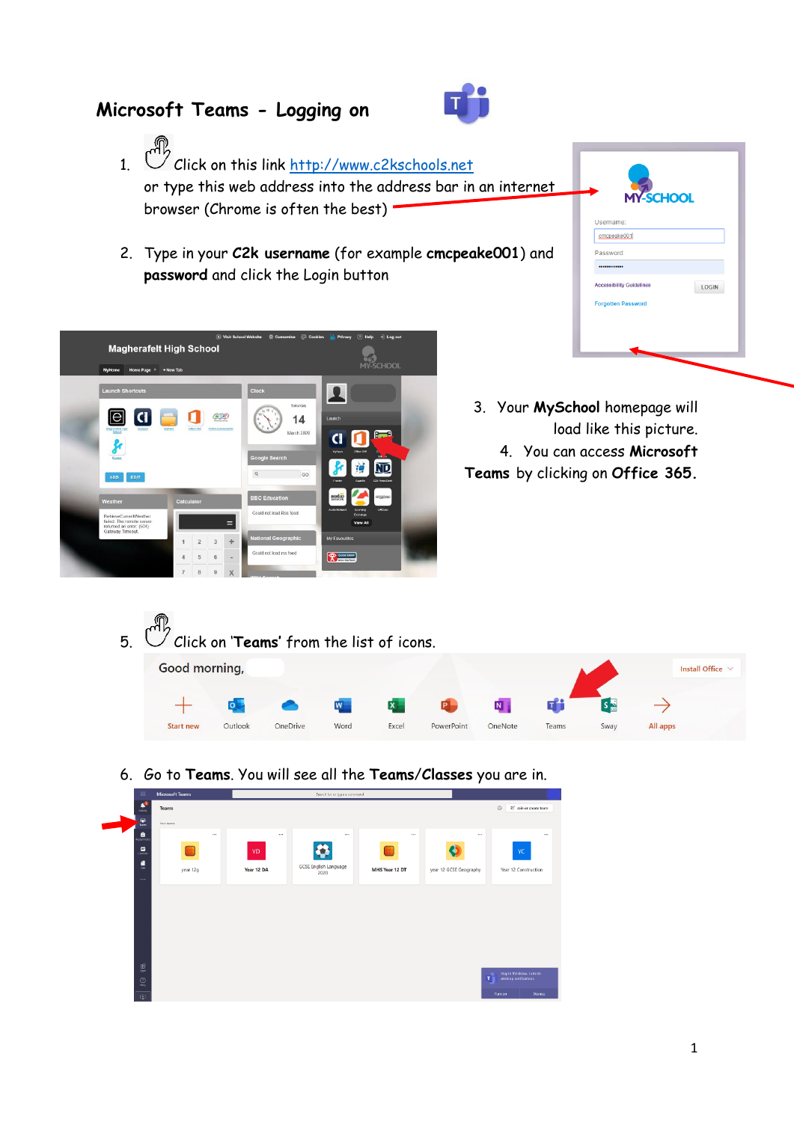## **Microsoft Teams - Logging on**



- 1.  $\mathbb{C}$  Click on this link [http://www.c2kschools.net](http://www.c2kschools.net/) or type this web address into the address bar in an internet browser (Chrome is often the best)
- 2. Type in your **C2k username** (for example **cmcpeake001**) and **password** and click the Login button



- Username: cmcpeake001 Password **cessibility Guidelines** LOGIN **prooffen Passwor**
- 3. Your **MySchool** homepage will load like this picture. 4. You can access **Microsoft Teams** by clicking on **Office 365.**

- 5. Click on '**Teams'** from the list of icons. Good morning, Install Office  $\hspace{0.1mm} +$  $\rightarrow$  $\overline{\bullet}$  $\overline{\mathsf{N}}$ ďi Start new Outlook OneDrive Word Excel OneNote Teams All apps PowerPoint **Sway**
- 6. Go to **Teams**. You will see all the **Teams**/**Classes** you are in.

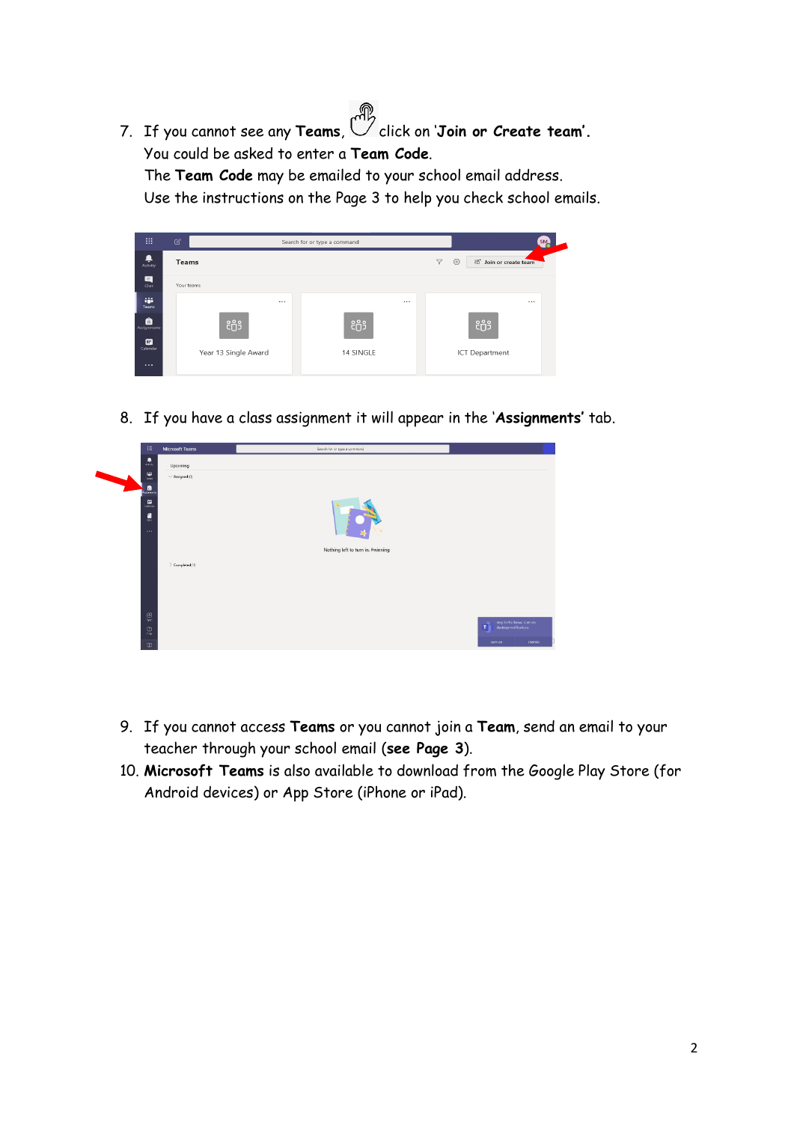7. If you cannot see any **Teams**, **click on 'Join or Create team'**. You could be asked to enter a **Team Code**.

The **Team Code** may be emailed to your school email address.

Use the instructions on the Page 3 to help you check school emails.



8. If you have a class assignment it will appear in the '**Assignments'** tab.



- 9. If you cannot access **Teams** or you cannot join a **Team**, send an email to your teacher through your school email (**see Page 3**).
- 10. **Microsoft Teams** is also available to download from the Google Play Store (for Android devices) or App Store (iPhone or iPad).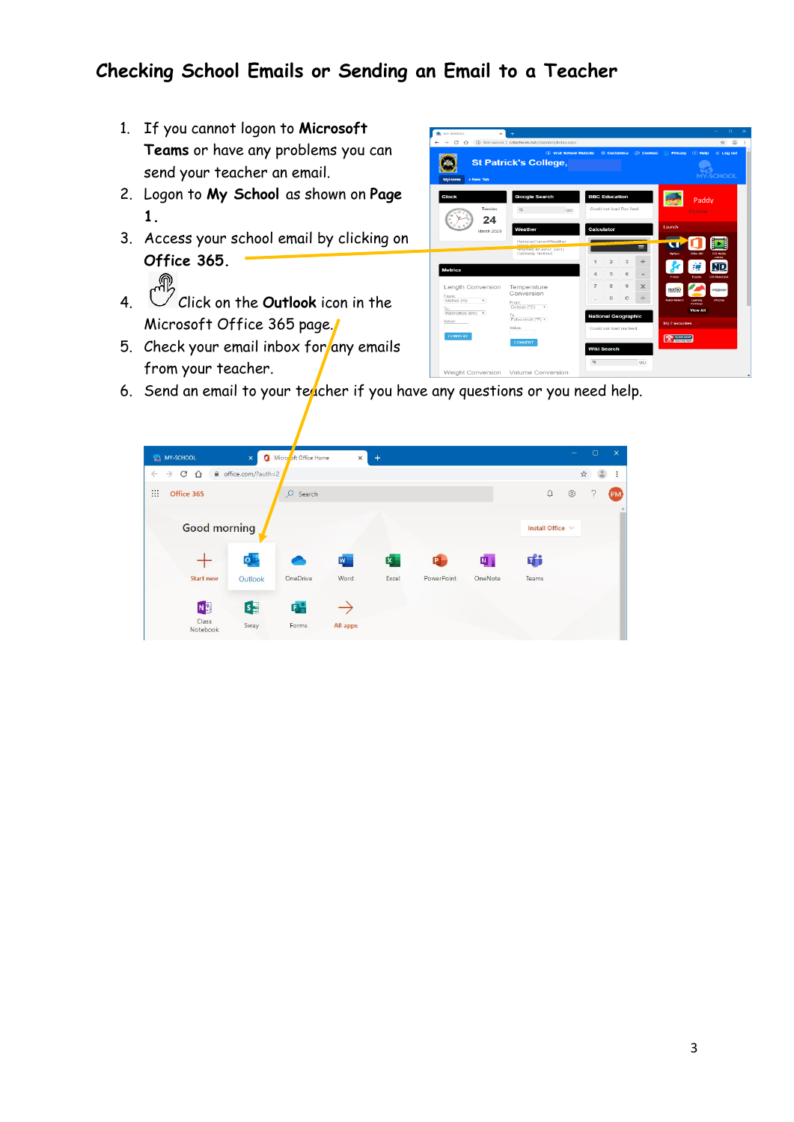## **Checking School Emails or Sending an Email to a Teacher**

- 1. If you cannot logon to **Microsoft Teams** or have any problems you can send your teacher an email.
- 2. Logon to **My School** as shown on **Page 1.**
- 3. Access your school email by clicking on **Office 365.**
- 4. Click on the **Outlook** icon in the Microsoft Office 365 page.
- 5. Check your email inbox for any emails from your teacher.



6. Send an email to your teacher if you have any questions or you need help.